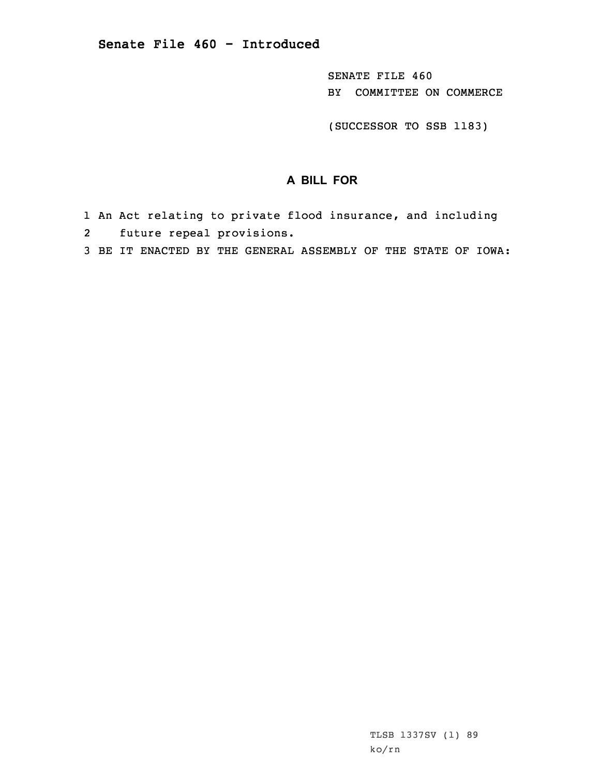SENATE FILE 460 BY COMMITTEE ON COMMERCE

(SUCCESSOR TO SSB 1183)

## **A BILL FOR**

- 1 An Act relating to private flood insurance, and including
- 2future repeal provisions.
- 3 BE IT ENACTED BY THE GENERAL ASSEMBLY OF THE STATE OF IOWA: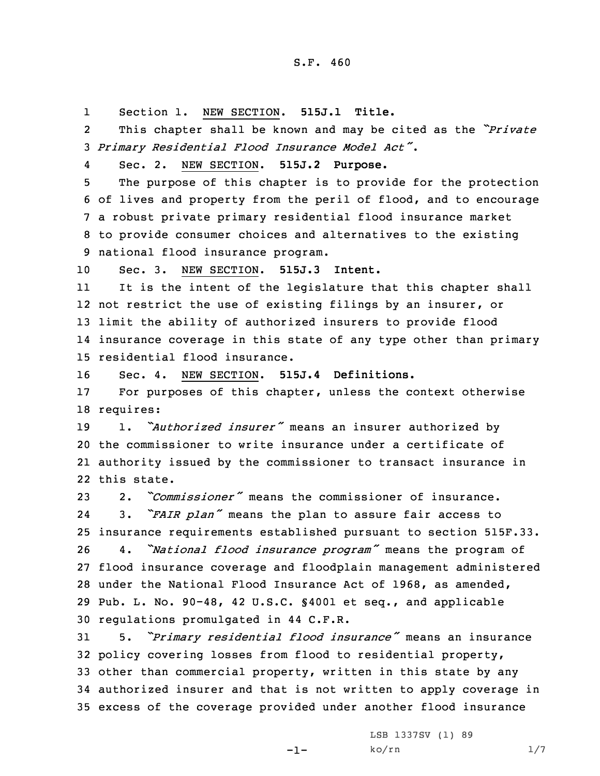1Section 1. NEW SECTION. **515J.1 Title.**

2 This chapter shall be known and may be cited as the *"Private* <sup>3</sup> *Primary Residential Flood Insurance Model Act"*.

4

Sec. 2. NEW SECTION. **515J.2 Purpose.**

 The purpose of this chapter is to provide for the protection of lives and property from the peril of flood, and to encourage <sup>a</sup> robust private primary residential flood insurance market to provide consumer choices and alternatives to the existing national flood insurance program.

10 Sec. 3. NEW SECTION. **515J.3 Intent.**

11 It is the intent of the legislature that this chapter shall not restrict the use of existing filings by an insurer, or limit the ability of authorized insurers to provide flood insurance coverage in this state of any type other than primary residential flood insurance.

16 Sec. 4. NEW SECTION. **515J.4 Definitions.**

17 For purposes of this chapter, unless the context otherwise 18 requires:

 1. *"Authorized insurer"* means an insurer authorized by the commissioner to write insurance under <sup>a</sup> certificate of authority issued by the commissioner to transact insurance in this state.

 2. *"Commissioner"* means the commissioner of insurance. 24 3. *"FAIR plan"* means the plan to assure fair access to insurance requirements established pursuant to section 515F.33. 4. *"National flood insurance program"* means the program of flood insurance coverage and floodplain management administered under the National Flood Insurance Act of 1968, as amended, Pub. L. No. 90-48, 42 U.S.C. §4001 et seq., and applicable regulations promulgated in 44 C.F.R.

 5. *"Primary residential flood insurance"* means an insurance policy covering losses from flood to residential property, other than commercial property, written in this state by any authorized insurer and that is not written to apply coverage in excess of the coverage provided under another flood insurance

-1-

LSB 1337SV (1) 89  $ko/rn$  1/7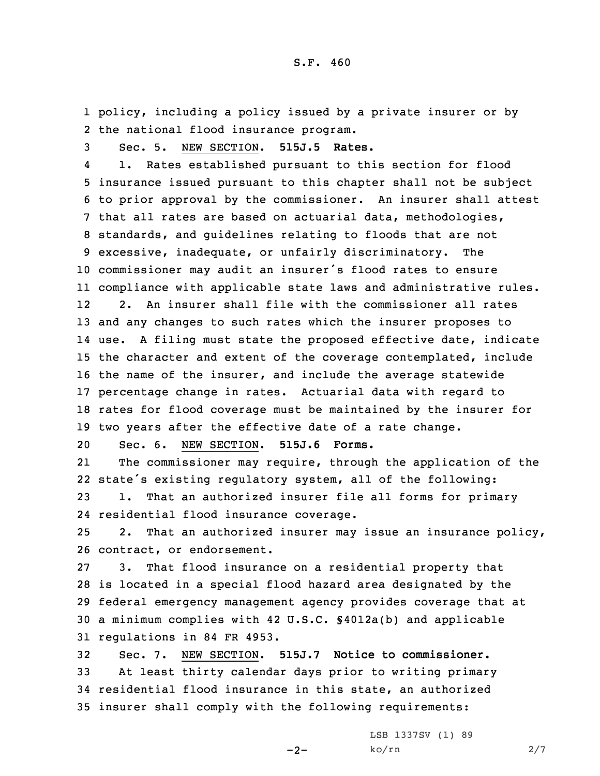1 policy, including <sup>a</sup> policy issued by <sup>a</sup> private insurer or by 2 the national flood insurance program.

3 Sec. 5. NEW SECTION. **515J.5 Rates.**

4 1. Rates established pursuant to this section for flood insurance issued pursuant to this chapter shall not be subject to prior approval by the commissioner. An insurer shall attest that all rates are based on actuarial data, methodologies, standards, and guidelines relating to floods that are not excessive, inadequate, or unfairly discriminatory. The commissioner may audit an insurer's flood rates to ensure compliance with applicable state laws and administrative rules. 12 2. An insurer shall file with the commissioner all rates and any changes to such rates which the insurer proposes to use. <sup>A</sup> filing must state the proposed effective date, indicate the character and extent of the coverage contemplated, include the name of the insurer, and include the average statewide percentage change in rates. Actuarial data with regard to rates for flood coverage must be maintained by the insurer for two years after the effective date of <sup>a</sup> rate change.

20 Sec. 6. NEW SECTION. **515J.6 Forms.**

21 The commissioner may require, through the application of the 22 state's existing regulatory system, all of the following:

23 1. That an authorized insurer file all forms for primary 24 residential flood insurance coverage.

25 2. That an authorized insurer may issue an insurance policy, 26 contract, or endorsement.

 3. That flood insurance on <sup>a</sup> residential property that is located in <sup>a</sup> special flood hazard area designated by the federal emergency management agency provides coverage that at <sup>a</sup> minimum complies with 42 U.S.C. §4012a(b) and applicable regulations in 84 FR 4953.

 Sec. 7. NEW SECTION. **515J.7 Notice to commissioner.** At least thirty calendar days prior to writing primary residential flood insurance in this state, an authorized insurer shall comply with the following requirements:

 $-2-$ 

LSB 1337SV (1) 89 ko/rn 2/7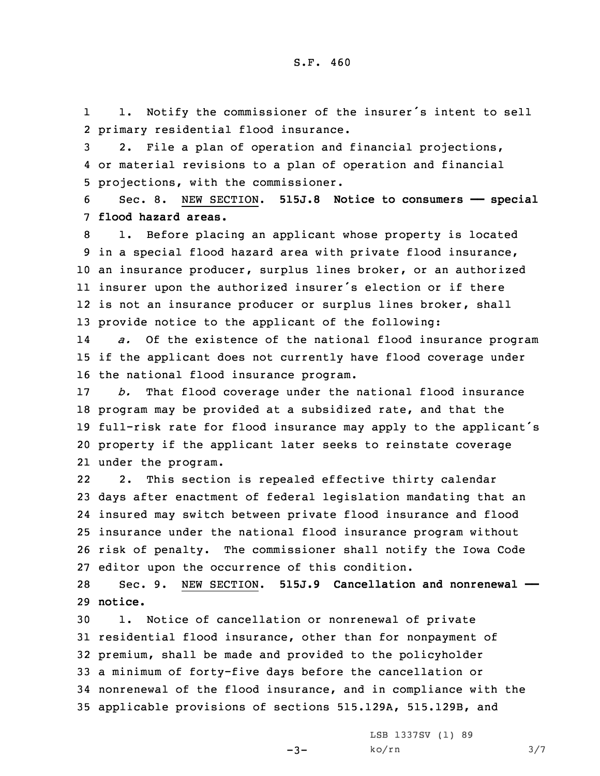1 1. Notify the commissioner of the insurer's intent to sell 2 primary residential flood insurance.

3 2. File <sup>a</sup> plan of operation and financial projections, 4 or material revisions to <sup>a</sup> plan of operation and financial 5 projections, with the commissioner.

6 Sec. 8. NEW SECTION. **515J.8 Notice to consumers —— special** 7 **flood hazard areas.**

 1. Before placing an applicant whose property is located in <sup>a</sup> special flood hazard area with private flood insurance, an insurance producer, surplus lines broker, or an authorized insurer upon the authorized insurer's election or if there is not an insurance producer or surplus lines broker, shall provide notice to the applicant of the following:

14 *a.* Of the existence of the national flood insurance program 15 if the applicant does not currently have flood coverage under 16 the national flood insurance program.

 *b.* That flood coverage under the national flood insurance program may be provided at <sup>a</sup> subsidized rate, and that the full-risk rate for flood insurance may apply to the applicant's property if the applicant later seeks to reinstate coverage under the program.

22 2. This section is repealed effective thirty calendar days after enactment of federal legislation mandating that an insured may switch between private flood insurance and flood insurance under the national flood insurance program without risk of penalty. The commissioner shall notify the Iowa Code editor upon the occurrence of this condition.

28 Sec. 9. NEW SECTION. **515J.9 Cancellation and nonrenewal ——** 29 **notice.**

 1. Notice of cancellation or nonrenewal of private residential flood insurance, other than for nonpayment of premium, shall be made and provided to the policyholder <sup>a</sup> minimum of forty-five days before the cancellation or nonrenewal of the flood insurance, and in compliance with the applicable provisions of sections 515.129A, 515.129B, and

 $-3-$ 

LSB 1337SV (1) 89  $ko/rn$  3/7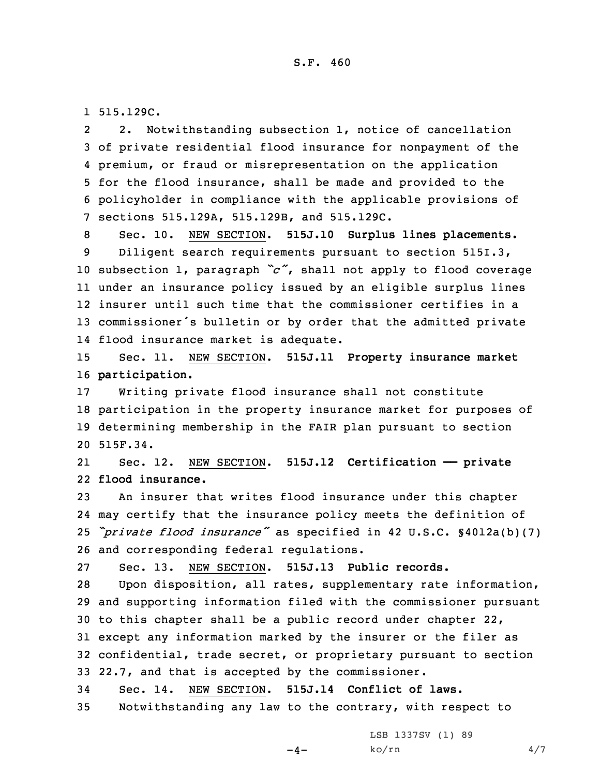1 515.129C.

2 2. Notwithstanding subsection 1, notice of cancellation of private residential flood insurance for nonpayment of the premium, or fraud or misrepresentation on the application for the flood insurance, shall be made and provided to the policyholder in compliance with the applicable provisions of sections 515.129A, 515.129B, and 515.129C.

 Sec. 10. NEW SECTION. **515J.10 Surplus lines placements.** Diligent search requirements pursuant to section 515I.3, subsection 1, paragraph *"c"*, shall not apply to flood coverage under an insurance policy issued by an eligible surplus lines insurer until such time that the commissioner certifies in <sup>a</sup> commissioner's bulletin or by order that the admitted private flood insurance market is adequate.

15 Sec. 11. NEW SECTION. **515J.11 Property insurance market** 16 **participation.**

 Writing private flood insurance shall not constitute participation in the property insurance market for purposes of determining membership in the FAIR plan pursuant to section 20 515F.34.

21 Sec. 12. NEW SECTION. **515J.12 Certification —— private** 22 **flood insurance.**

 An insurer that writes flood insurance under this chapter may certify that the insurance policy meets the definition of *"private flood insurance"* as specified in <sup>42</sup> U.S.C. §4012a(b)(7) and corresponding federal regulations.

27 Sec. 13. NEW SECTION. **515J.13 Public records.**

 Upon disposition, all rates, supplementary rate information, and supporting information filed with the commissioner pursuant to this chapter shall be <sup>a</sup> public record under chapter 22, except any information marked by the insurer or the filer as confidential, trade secret, or proprietary pursuant to section 22.7, and that is accepted by the commissioner.

34 Sec. 14. NEW SECTION. **515J.14 Conflict of laws.**

35 Notwithstanding any law to the contrary, with respect to

 $-4-$ 

LSB 1337SV (1) 89  $ko/rn$  4/7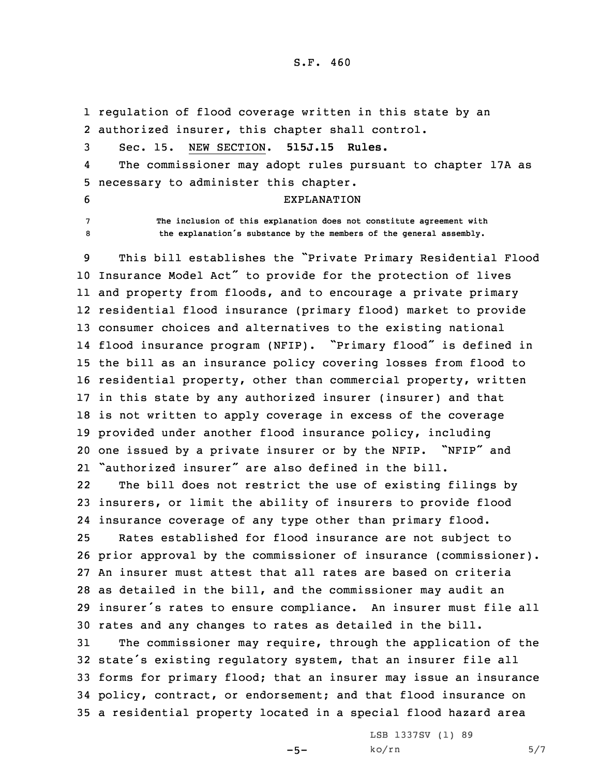## S.F. 460

1 regulation of flood coverage written in this state by an 2 authorized insurer, this chapter shall control.

3 Sec. 15. NEW SECTION. **515J.15 Rules.**

4 The commissioner may adopt rules pursuant to chapter 17A as 5 necessary to administer this chapter.

- 6 EXPLANATION
- 

7 **The inclusion of this explanation does not constitute agreement with** <sup>8</sup> **the explanation's substance by the members of the general assembly.**

 This bill establishes the "Private Primary Residential Flood Insurance Model Act" to provide for the protection of lives and property from floods, and to encourage <sup>a</sup> private primary residential flood insurance (primary flood) market to provide consumer choices and alternatives to the existing national flood insurance program (NFIP). "Primary flood" is defined in the bill as an insurance policy covering losses from flood to residential property, other than commercial property, written in this state by any authorized insurer (insurer) and that is not written to apply coverage in excess of the coverage provided under another flood insurance policy, including one issued by <sup>a</sup> private insurer or by the NFIP. "NFIP" and "authorized insurer" are also defined in the bill.

22 The bill does not restrict the use of existing filings by 23 insurers, or limit the ability of insurers to provide flood 24 insurance coverage of any type other than primary flood.

 Rates established for flood insurance are not subject to prior approval by the commissioner of insurance (commissioner). An insurer must attest that all rates are based on criteria as detailed in the bill, and the commissioner may audit an insurer's rates to ensure compliance. An insurer must file all rates and any changes to rates as detailed in the bill.

 The commissioner may require, through the application of the state's existing regulatory system, that an insurer file all forms for primary flood; that an insurer may issue an insurance policy, contract, or endorsement; and that flood insurance on <sup>a</sup> residential property located in <sup>a</sup> special flood hazard area

 $-5-$ 

LSB 1337SV (1) 89  $ko/rn$  5/7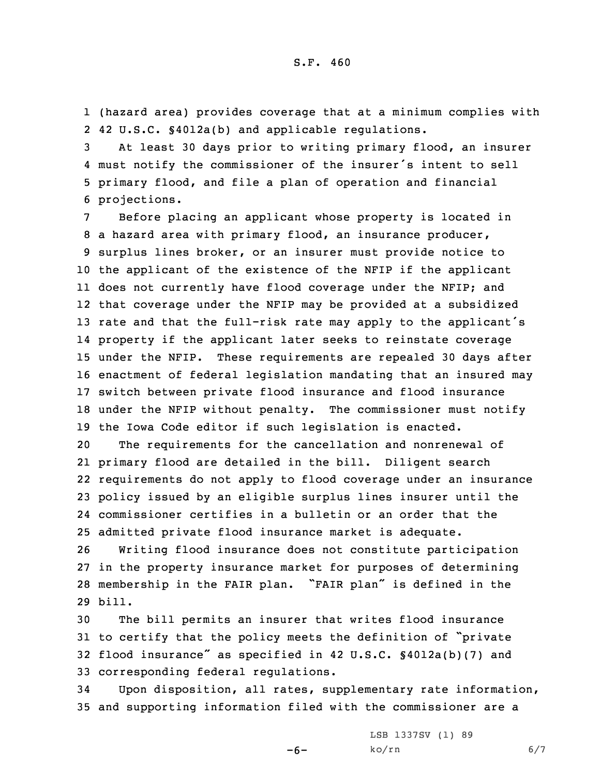1 (hazard area) provides coverage that at <sup>a</sup> minimum complies with 2 42 U.S.C. §4012a(b) and applicable regulations.

 At least 30 days prior to writing primary flood, an insurer must notify the commissioner of the insurer's intent to sell primary flood, and file <sup>a</sup> plan of operation and financial projections.

 Before placing an applicant whose property is located in <sup>a</sup> hazard area with primary flood, an insurance producer, surplus lines broker, or an insurer must provide notice to the applicant of the existence of the NFIP if the applicant does not currently have flood coverage under the NFIP; and that coverage under the NFIP may be provided at <sup>a</sup> subsidized rate and that the full-risk rate may apply to the applicant's property if the applicant later seeks to reinstate coverage under the NFIP. These requirements are repealed 30 days after enactment of federal legislation mandating that an insured may switch between private flood insurance and flood insurance under the NFIP without penalty. The commissioner must notify the Iowa Code editor if such legislation is enacted.

 The requirements for the cancellation and nonrenewal of primary flood are detailed in the bill. Diligent search requirements do not apply to flood coverage under an insurance policy issued by an eligible surplus lines insurer until the commissioner certifies in <sup>a</sup> bulletin or an order that the admitted private flood insurance market is adequate.

 Writing flood insurance does not constitute participation in the property insurance market for purposes of determining membership in the FAIR plan. "FAIR plan" is defined in the 29 bill.

 The bill permits an insurer that writes flood insurance to certify that the policy meets the definition of "private flood insurance" as specified in <sup>42</sup> U.S.C. §4012a(b)(7) and corresponding federal regulations.

34 Upon disposition, all rates, supplementary rate information, 35 and supporting information filed with the commissioner are <sup>a</sup>

-6-

LSB 1337SV (1) 89  $ko/rn$  6/7